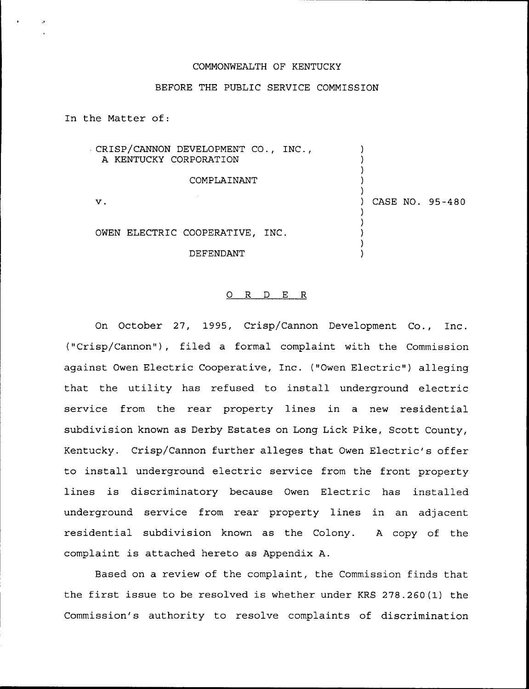## COMMONWEALTH OF KENTUCKY

# BEFORE THE PUBLIC SERVICE COMMISSION

In the Matter of:

| CRISP/CANNON DEVELOPMENT CO., INC.,<br>A KENTUCKY CORPORATION |                 |
|---------------------------------------------------------------|-----------------|
| COMPLAINANT                                                   |                 |
| ν.                                                            | CASE NO. 95-480 |
|                                                               |                 |
| OWEN ELECTRIC COOPERATIVE, INC.                               |                 |
| DEFENDANT                                                     |                 |

### 0 R <sup>D</sup> E R

On October 27, 1995, Crisp/Cannon Development Co., Inc. ("Crisp/Cannon"), filed a formal complaint with the Commission against Owen Electric Cooperative, Inc. ("Owen Electric") alleging that the utility has refused to install underground electric service from the rear property lines in a new residential subdivision known as Derby Estates on Long Lick Pike, Scott County, Kentucky. Crisp/Cannon further alleges that Owen Electric's offer to install underground electric service from the front property lines is discriminatory because Owen Electric has installed underground service from rear property lines in an adjacent residential subdivision known as the Colony. <sup>A</sup> copy of the complaint is attached hereto as Appendix A.

Based on a review of the complaint, the Commission finds that the first issue to be resolved is whether under KRS 278.260(1) the Commission's authority to resolve complaints of discrimination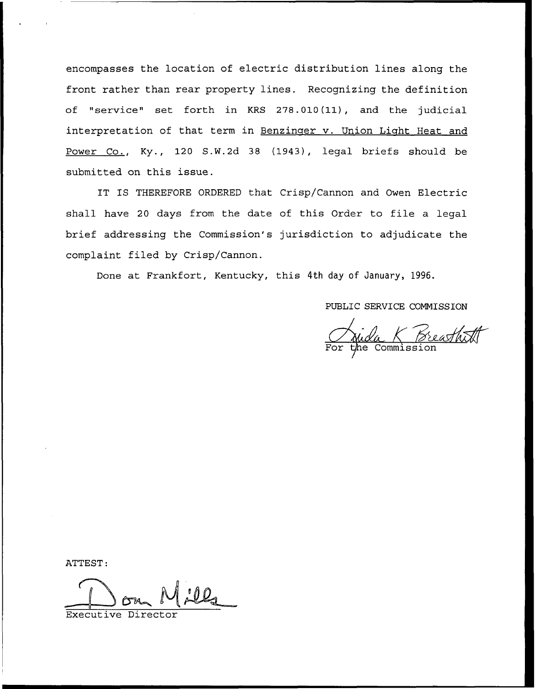encompasses the location of electric distribution lines along the front rather than rear property lines. Recognizing the definition of "service" set forth in KRS 278.010(11), and the judicial interpretation of that term in Benzinger v. Union Light Heat and Power Co., Ky., 120 S.W.2d 38 (1943), legal briefs should be submitted on this issue.

IT IS THEREFORE ORDERED that Crisp/Cannon and Owen Electric shall have <sup>20</sup> days from the date of this Order to file a legal brief addressing the Commission's jurisdiction to adjudicate the complaint filed by Crisp/Cannon.

Done at Frankfort, Kentucky, this 4th day of January, 1996.

PUBLIC SERVICE COMMISSION

<u>la K Breas</u><br>Commission

ATTEST:

Executive Director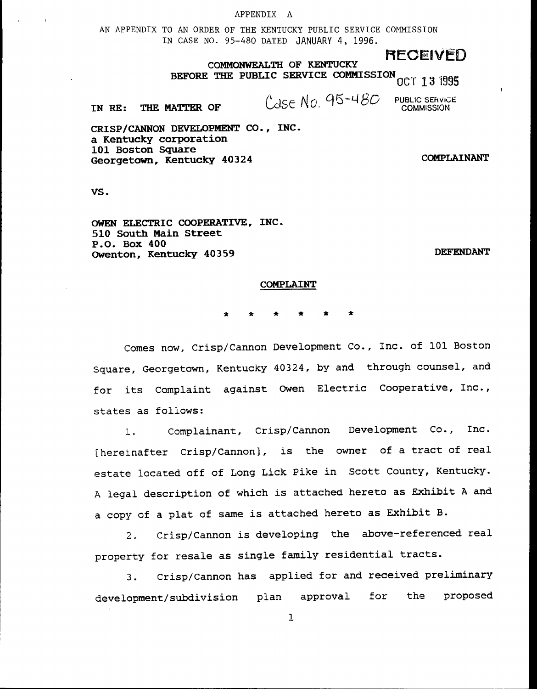#### APPENDIX A

AN APPENDIX TO AN ORDER OF THE KENTUCKY PUBLIC SERVICE COMMISSION IN CASE NO. 95-48Q DATED JANUARY 4, 1996.

COMMONWEALTH OF KENTUCKY **RECEIVEL** BEFORE THE PUBLIC SERVICE COMMISSION  $_{\rm{OCT}}$  13 i995

IN RE: THE MATTER OF  $\begin{array}{cc} \text{(C)SC No. } 95 - 480 & \text{public sensitivity} \end{array}$ 

CRISP/CANNON DEVELOPMENT CO., INC. a Kentucky corporation 101 Boston Square Georgetown, Kentucky 40324 COMPLAINANT

VS.

OWEN ELECTRIC COOPERATIVE, INC. 510 South Main Street P.O. Box 400 Owenton, Kentucky 40359

**DEFENDANT** 

#### COMPLAINT

Comes now, Crisp/Cannon Development Co., Inc. of 101 Boston Square, Georgetown, Kentucky 40324, by and. through counsel, and. for its Complaint against Owen Electric Cooperative, Inc., states as follows:

1. Complainant, Crisp/Cannon Development Co., Inc. [hereinafter Crisp/Cannon], is the owner of a tract of real estate located off of Long Lick Pike in Scott County, Kentucky. <sup>A</sup> legal description of which is attached hereto as Exhibit <sup>A</sup> and <sup>a</sup> copy of <sup>a</sup> plat of same is attached hereto as Exhibit B.

2. Crisp/Cannon is developing the above-referenced real property for resale as single family residential tracts.

3. Crisp/Cannon has applied for and received preliminary development/subdivision plan approval for the proposed

 $\mathbf{1}$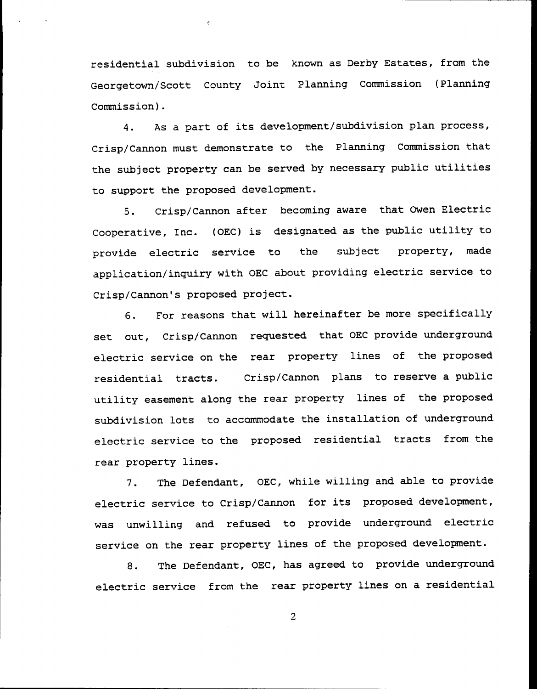residential subdivision to be known as Derby Estates, from the Georgetown/Scott County Joint Planning Commission {Planning Commission).

4. As <sup>a</sup> part of its development/subdivision plan process, Crisp/Cannon must demonstrate to the Planning Commission that the subject property can be served by necessary public utilities to support the proposed development.

5. Crisp/Cannon after becoming aware that Owen Electric Cooperative, Inc. (OEC) is designated as the public utility to provide electric service to the subject property, made application/inquiry with OEC about providing electric service to Crisp/Cannon's proposed project.

6. For reasons that will hereinafter be more specifically set out, Crisp/Cannon requested that OEC provide underground electric service on the rear property lines of the proposed residential tracts. Crisp/Cannon plans to reserve a public utility easement along the rear property lines of the proposed subdivision lots to accommodate the installation of underground. electric service to the proposed residential tracts from the rear property lines.

7. The Defendant, OEC, while willing and able to provide electric service to Crisp/Cannon for its proposed development, was unwilling and refused to provide underground. electric service on the rear property lines of the proposed development.

8. The Defendant, OEC, has agreed to provide underground electric service from the rear property lines on a residential

2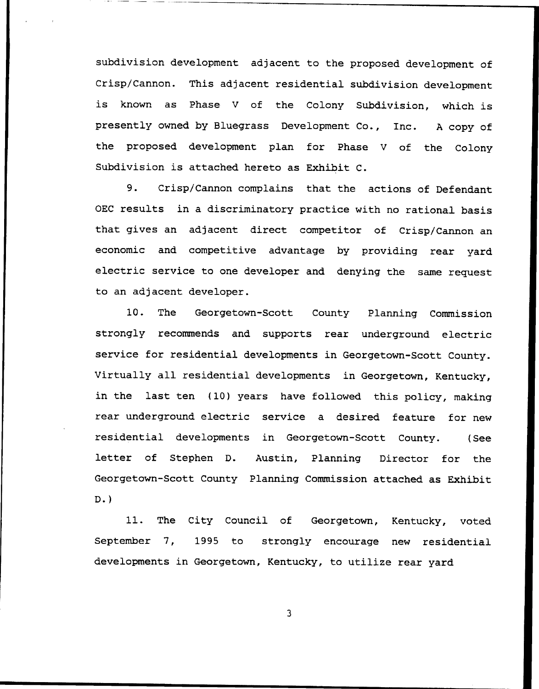subdivision development adjacent to the proposed development of Crisp/Cannon. This adjacent residential subdivision development is known as Phase <sup>V</sup> of the Colony Subdivision, which is presently owned by Bluegrass Development Co., Inc. <sup>A</sup> copy of the proposed. development plan for Phase <sup>V</sup> of the Colony Subdivision is attached hereto as Exhibit C.

9. Crisp/Cannon complains that the actions of Defendant OEC results in a discriminatory practice with no rational basis that gives an adjacent direct competitor of Crisp/Cannon an economic and competitive advantage by providing rear yard electric service to one developer and denying the same request to an adjacent developer.

10. The Georgetown-Scott County Planning Commission strongly recommends and supports rear underground electric service for residential developments in Georgetown-Scott County. Virtually all residential developments in Georgetown, Kentucky, in the last ten (10) years have followed this policy, making rear underground. electric service a desired feature for new residential developments in Georgetown-Scott County. (See letter of Stephen D. Austin, Planning Director for the Georgetown-Scott County Planning Commission attached as Exhibit D.)

11. The City Council of Georgetown, Kentucky, voted. September 7, 1995 to strongly encourage new residential developments in Georgetown, Kentucky, to utilize rear yard

 $\overline{\mathbf{3}}$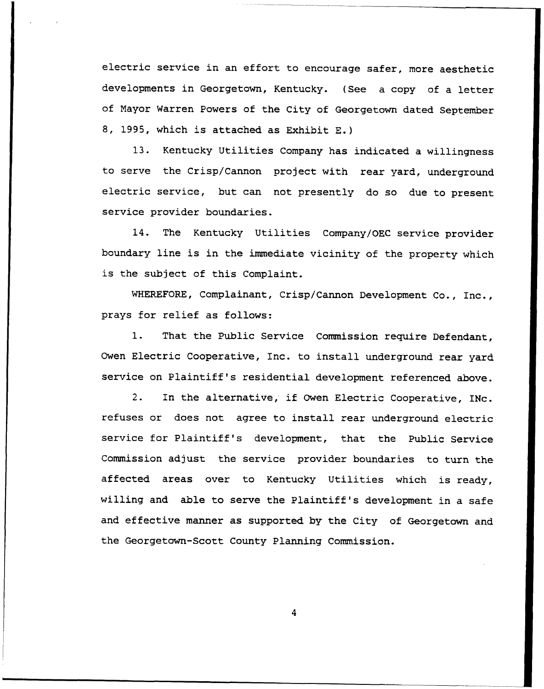electric service in an effort to encourage safer, more aesthetic developments in Georgetown, Kentucky. (See a copy of a letter of Nayor Warren Powers of the City of Georgetown dated September 8, 1995, which is attached as Exhibit E.)

13. Kentucky Utilities Company has indicated a willingness to serve the Crisp/Cannon project with rear yard, underground electric service, but can not presently do so due to present service provider boundaries.

14. The Kentucky Utilities Company/OEC service provider boundary line is in the immediate vicinity of the property which is the subject of this Complaint.

WHEREFORE, Complainant, Crisp/Cannon Development Co., Inc., prays for relief as follows:

1. That the Public Service Commission require Defendant, Owen Electric Cooperative, Inc. to install underground rear yard service on Plaintiff's residential development referenced above.

2. In the alternative, if Owen Electric Cooperative, INc. refuses or does not agree to install rear underground electric service for Plaintiff's development, that the Public Service Commission adjust the service provider boundaries to turn the affected areas over to Kentucky Utilities which is ready, willing and able to serve the Plaintiff's development in a safe and effective manner as supported. by the City of Georgetown and the Georgetown-Scott County Planning Commission.

 $\boldsymbol{A}$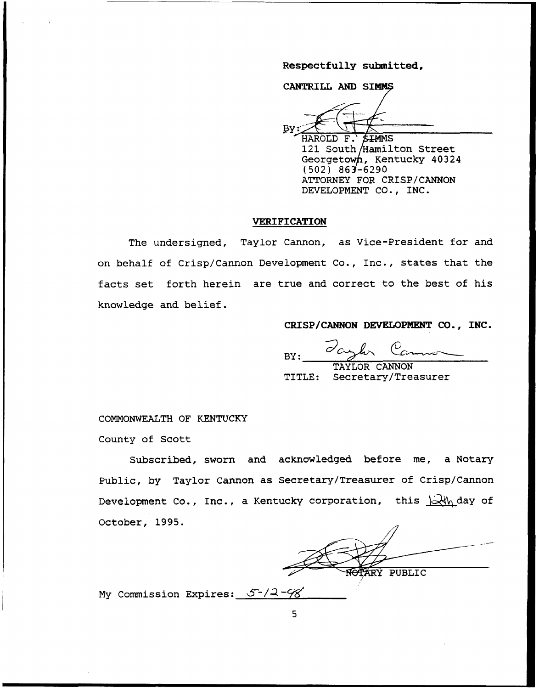Respectfully submitted,

CANTRILL AND SIMMS

HAROLD F. **THMMS** 121 South/Hamilton Street Georgetown, Kentucky  $40324$  $(502) 863 - 6290$ ATTORNEY FOR CRISP/CANNON DEVELOPMENT CO., INC.

# VERIFICATION

The undersigned, Taylor Cannon, as Vice-President for and on behalf of Crisp/Cannon Development Co., Inc., states that the facts set forth herein are true and correct to the best of his knowledge and belief.

CRISP/CANNON DEVELOPMENT CO., INC.

 $\mathcal{C}_c$ BY:

TAYLOR CANNON TITLE: Secretary/Treasurer

COMNONWEALTH OF KENTUCKY

County of Scott

Subscribed, sworn and acknowledged before me, a Notary Public, by Taylor Cannon as Secretary/Treasurer of Crisp/Cannon Development Co., Inc., a Kentucky corporation, this  $\frac{1}{2}$  day of October, 1995.

**ARY PUBLIC** /

My Commission Expires:  $5-/2-98$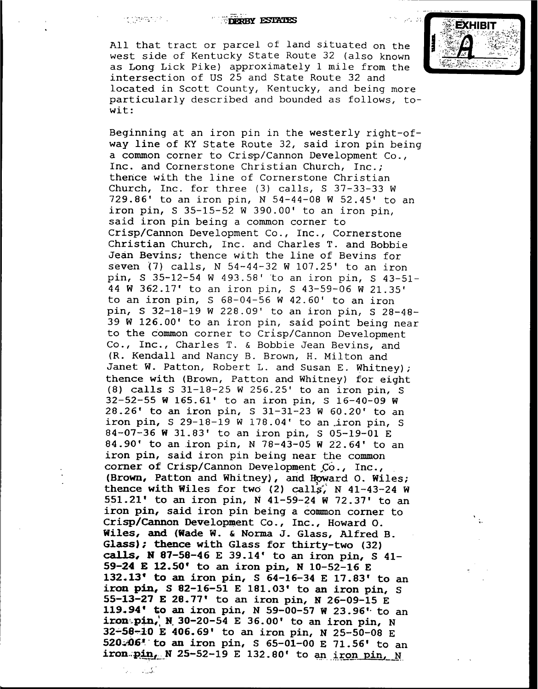n<br>Maritim الأرزان

#### **FIRERBY ESTATES**

All that tract or parcel of land situated on the west side of Kentucky State Route 32 (also known as Long Lick Pike) approximately 1 mile from the intersection of US 25 and State Route 32 and located in Scott County, Kentucky, and being more particularly described and bounded as follows, towit:

Beginning at an iron pin in the westerly right-ofway line of KY State Route 32, said iron pin being a common corner to Crisp/Cannon Development Co., Inc. and Cornerstone Christian Church, Inc.; thence with the line of Cornerstone Christian Church, Inc. for three (3) calls, <sup>S</sup> 37-33-33 <sup>W</sup> 729.86' to an iron pin, N 54-44-08 W 52.45' to an iron pin,  $S$  35-15-52 W 390.00' to an iron pin, said iron pin being a common corner to Crisp/Cannon Development Co., Inc., Cornerstone Christian Church, Inc. and Charles T. and Bobbie Jean Bevins; thence with the line of Bevins for seven (7) calls,  $N$  54-44-32 W 107.25' to an iron pin, <sup>S</sup> 35-12-54 <sup>W</sup> 493.58'to an iron pin, <sup>S</sup> 43-51- 44 W 362.17' to an iron pin, S 43-59-06 W 21.35' to an iron pin,  $S$  68-04-56 W 42.60' to an iron pin, S 32-18-19 W 228.09' to an iron pin, S 28-48- $39$  W 126.00' to an iron pin, said point being near to the common corner to Crisp/Cannon Development Co., Inc., Charles T. <sup>a</sup> Bobbie Jean Bevins, and (R. Kendall and Nancy B. Brown, H. Milton and Janet W. Patton, Robert L. and Susan E. Whitney); thence with (Brown, Patton and Whitney) for eight (8) calls S  $31-18-25$  W  $256.25'$  to an iron pin, S 32-52-55 W 165.61' to an iron pin, S 16-40-09 W 28.26' to an iron pin, S 31-31-23 W 60.20' to an iron pin, S 29-18-19 W 178.04' to an iron pin, S 84-07-36 W 31.83' to an iron pin, S 05-19-01 E 84.90' to an iron pin, N 78-43-05 W 22.64' to an iron pin, said iron pin being near the common corner of Crisp/Cannon Development  $Co.$ , Inc., (Brown, Patton and Whitney), and Howard O. Wiles; thence with Wiles for two (2) cally, <sup>N</sup> 41-43-24 <sup>W</sup> 551.21' to an iron pin, N 41-59-24 W 72.37' to an iron pin, said iron pin being a common corner to Crisp/Cannon Development Co., Inc., Howard O. Wiles, and (Wade W. <sup>6</sup> Norma J. Glass, Alfred B. Glass); thence with Glass for thirty-two  $(32)$ calls, N 87-58-46 E 39.14' to an iron pin, S 41-59-24 E 12.50' to an iron pin, N 10-52-16 E 132.13' to an iron pin,  $S$  64-16-34 E 17.83' to an iron pin,  $S$  82-16-51 E 181.03' to an iron pin,  $S$ 55-13-27 E 28.77' to an iron pin, N 26-09-15 E 119.94' to an iron pin, N 59-00-57 W 23.96' to an iron-pin, N iron-pin, N 32-58-10 E 406.69' to an iron pin, N 25-50-08 E 520.06\* to an iron pin, S 65-01-00 E 71.56' to an iron. $pin, N$  25-52-19 E 132.80' to an iron pin, N



 $\mathcal{L}$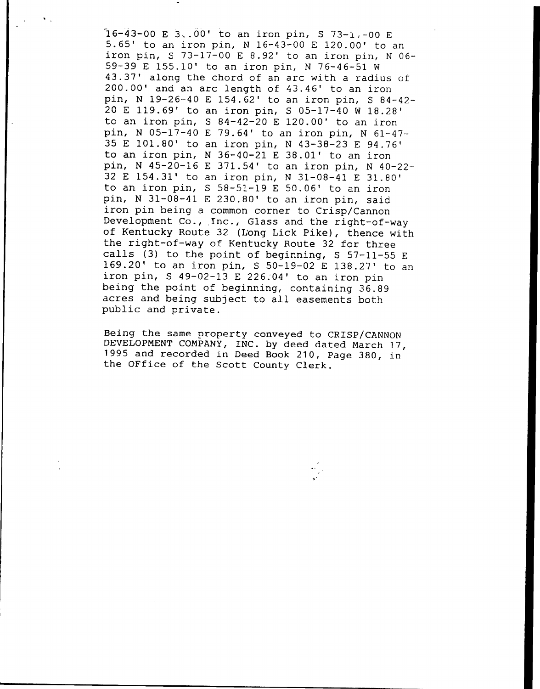$16-43-00$  E  $3.00'$  to an iron pin, S  $73-1.00$  E 5.65' to an iron pin, N 16-43-00 E 120.00' to an iron pin, S 73-17-00 E 8.92' to an iron pin, N 06-59-39 E 155.10' to an iron pin, N 76-46-51 W 43.37' along the chord of an arc with a radius of 200.00' and an arc length of 43.46' to an iron pin, N 19-26-40 E 154.62' to an iron pin, S 84-42-20 E 119.69' to an iron pin, S 05-17-40 W 18.28' to an iron pin,  $S$  84-42-20 E 120.00' to an iron pin, N 05-17-40 E 79.64' to an iron pin, N 61-47-35 E 101.80' to an iron pin, N 43-38-23 E 94.76' to an iron pin,  $N$  36-40-21 E 38.01' to an iron pin, N 45-20-16 E 371.54' to an iron pin, N 40-22-32 E 154.31' to an iron pin, N 31-08-41 E 31.80' to an iron pin,  $S$  58-51-19 E 50.06' to an iron pin, N 31-08-41 E 230.80' to an iron pin, said iron pin being a common corner to Crisp/Cannon Development Co., Inc., Glass and the right-of-way of Kentucky Route 32 (Long Lick Pike), thence with<br>the right-of-way of Kentucky Route 32 for three calls (3) to the point of beginning, S 57-11-55 E 169.20' to an iron pin, S 50-19-02 E 138.27' to an iron pin,  $S$  49-02-13 E 226.04' to an iron pin being the point of beginning, containing 36.89 acres and being subject to all easements both public and private.

Being the same property conveyed to CRISP/CANNON DEVELOPMENT COMPANY, INC. by deed dated March 17, 1995 and recorded in Deed Book 210, Page 380, in<br>the OFfice of the Scott County Clerk.

th<sub>an</sub>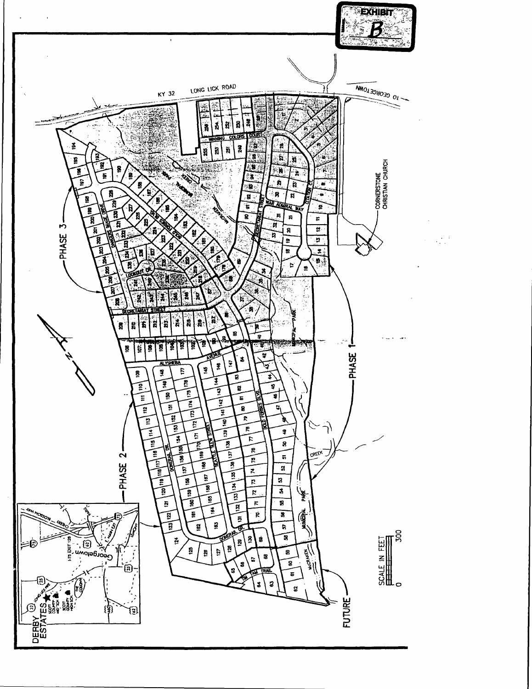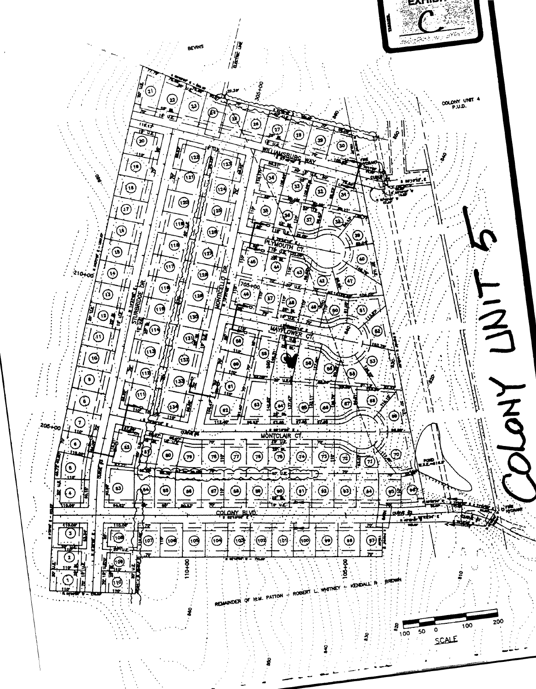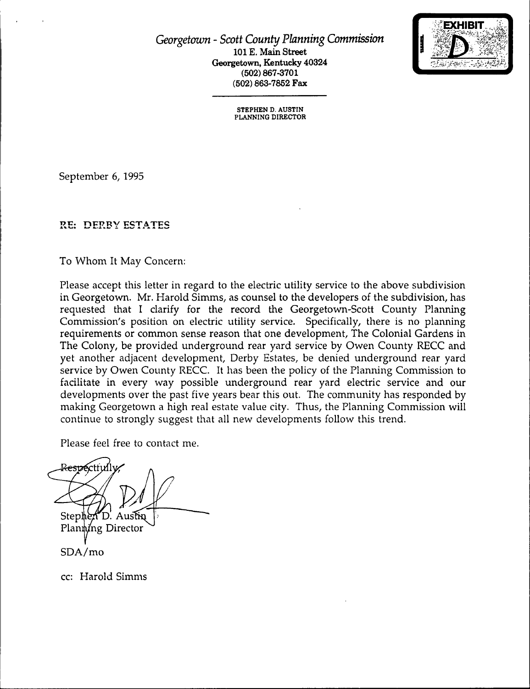Georgetown - Scott County Planning Commission 101 E. Main Street Georgetown, Kentucky 40324 (502) 867-3701 (502) 863-7852 Fax



STEPHEN D. AUSTIN PLANNING DIRECTOR

September 6, 1995

# RE: DERBY ESTATES

To Whom It May Concern:

Please accept this letter in regard to the electric utility service to the above subdivision in Georgetown. Mr. Harold Simms, as counsel to the developers of the subdivision, has requested that I clarify for the record the Georgetown-Scott County Planning Commission's position on electric utility service. Specifically, there is no planning requirements or common sense reason that one development, The Colonial Gardens in The Colony, be provided underground rear yard service by Owen County RECC and yet another adjacent development, Derby Estates, be denied underground rear yard service by Owen County RECC. It has been the policy of the Planning Commission to facilitate in every way possible underground rear yard electric service and our developments over the past five years bear this out, The community has responded by making Georgetown a high real estate value city, Thus, the Planning Commission will continue to strongly suggest that all new developments follow this trend.

Please feel free to contact me.

**Stephe** D. Planting Director SDA/mo

cc: Harold Simms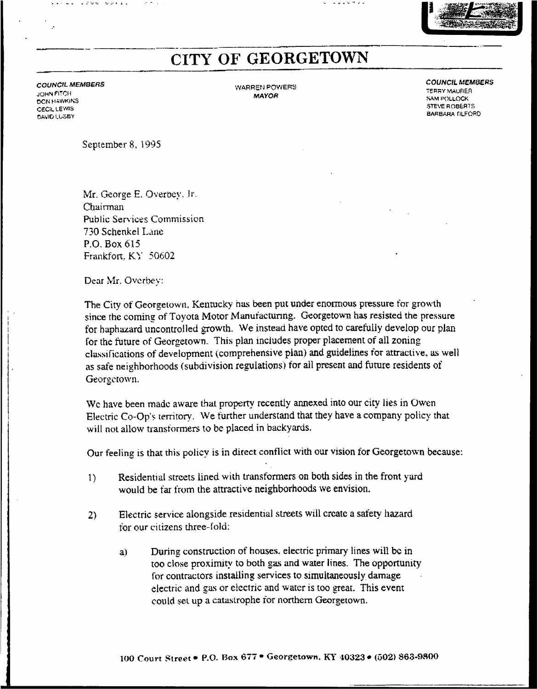# CITY OF GEORGETOWN

**COUNCIL MEMBERS** JOHN FI:Cli **DON HAWKINS** CECIL LEWIS DAVID LUSBY

 $1.11 - 1.799 - 9.011$ 

WARREN POWERS MAYOR

**COUNCIL MEMBERS TERRY MAURER** 

**SAM POLLOCK** STEVE ROBERTS BARBARA flLFORD

September 8, l995

Mr. George E. Overbey, Jr. Chairman Public Services Commission 730 Schenkel Lane P.Q. Box 615 Frankfort. KY 50602

Dear Mr. Overbey:

The City of Georgetown, Kentucky has been put under enormous pressure for growth since the coming of Toyota Motor Manufacturing. Georgetown has resisted the pressure for haphazard uncontrolled growth. We instead have opted to carefully develop our plan for the future of Georgetown. This plan includes proper placement of all zoning classifications of development (comprehensive plan) and guidelines for attractive, as well as safe neighborhoods (subdivision regulations) tor all present and future residents of Georgetown.

We have been made aware that property recently annexed into our city lies in Owen Electric Co-Op's territory. We further understand that they have a company policy that will not allow transformers to be placed in backyards.

Our feeling is that this policy is in direct conflict with our vision for Georgetown because:

- 1) Residential streets lined with transformers on both sides in the front yard would be tar from the attractive neighborhoods we envision.
- 2) Electric service alongside residential streets will create a safety hazard tor our citizens three-fold:
	- a) During construction ot houses. electric primary lines will bc in too close proximity to both gas and water lines. The opportunity for contractors installing services to simultaneously damage electric and gas or electric and water is too great. This event could set up a catastrophe for northern Georgetown.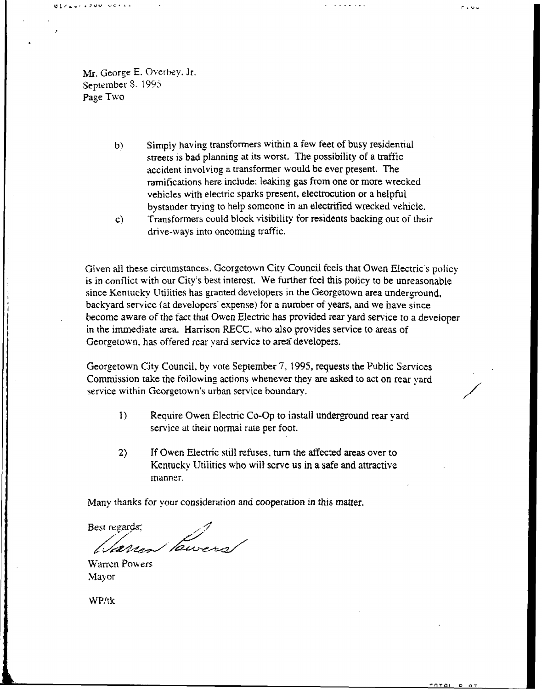Mr. George E. Overhey. Jr. September 8. 1995 page Two

 $0.172271790000144$ 

Simp)y having transformers within a few feet of busy residential  $b)$ streets isbad planning at its worst. The possibility of a traffic accident involving a transformer would bc ever present. The ramifications here include; leaking gas from one or more wrecked vehicles with electric sparks present. electrocution or a helpful bystander trying to help someone in an electrified wrecked vehicle.  $r \cdot v \cdot$ 

c} Transformers could block visibility for residents backing out of their drive-ways into oncoming traffic.

Given all these circumstances. Georgetown Citv Council feels that Owen Electric s policy is in conllict with our Citv's best interest. %e further feel this policy to be unreasonable since Kentuckv Utilities has granted developers in the Georgetown area underground. backyard service (at developers' expense) for a number of years, and we have since become aware of the fact that Owen Electric has provided rear yard service to a developer in the immediate area. Harrison RECC. <sup>v</sup> ho also provides service to areas of Georgetown. has oftered rear yard service to area developers.

Georgetown City Council, by vote September 7, 1995, requests the Public Services Commission take the following actions whenever they are asked to act on rear yard service within Georgetown's urban service boundary.

- 1} Require Owen Electric Co-Op to install underground rear yard service at their normai rate per foot.
- 2) If Owen Electric still refuses, turn the affected areas over to Kentucky IJtilities who wil) serve us in a safe and attractive manner.

Many thanks for vour consideration and cooperation in this matter.

Best regards; Pawers

Warren Powers Mayor

WP/tk